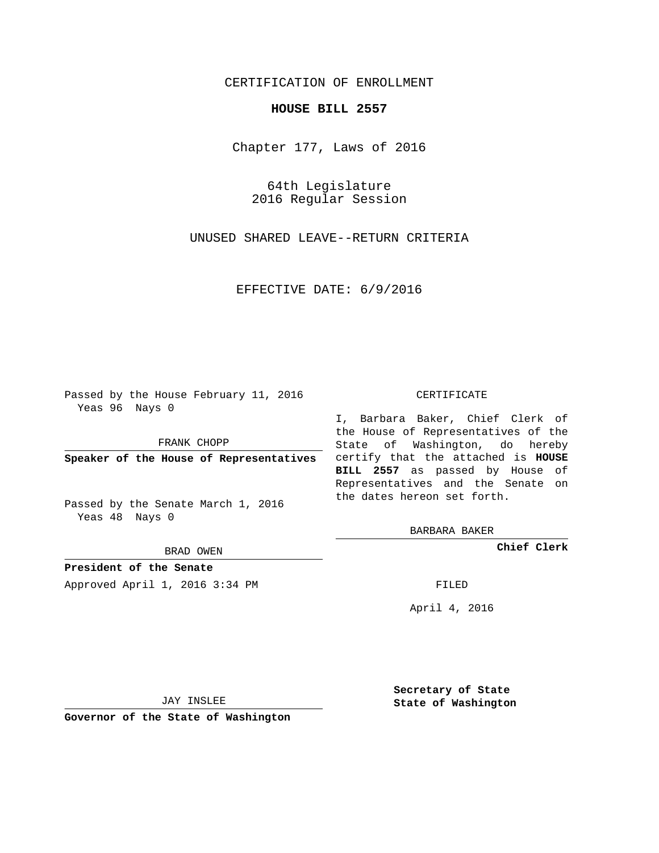## CERTIFICATION OF ENROLLMENT

## **HOUSE BILL 2557**

Chapter 177, Laws of 2016

64th Legislature 2016 Regular Session

UNUSED SHARED LEAVE--RETURN CRITERIA

EFFECTIVE DATE: 6/9/2016

Passed by the House February 11, 2016 Yeas 96 Nays 0

FRANK CHOPP

Passed by the Senate March 1, 2016 Yeas 48 Nays 0

BRAD OWEN

**President of the Senate**

Approved April 1, 2016 3:34 PM FILED

## CERTIFICATE

**Speaker of the House of Representatives** certify that the attached is **HOUSE** I, Barbara Baker, Chief Clerk of the House of Representatives of the State of Washington, do hereby **BILL 2557** as passed by House of Representatives and the Senate on the dates hereon set forth.

BARBARA BAKER

**Chief Clerk**

April 4, 2016

JAY INSLEE

**Governor of the State of Washington**

**Secretary of State State of Washington**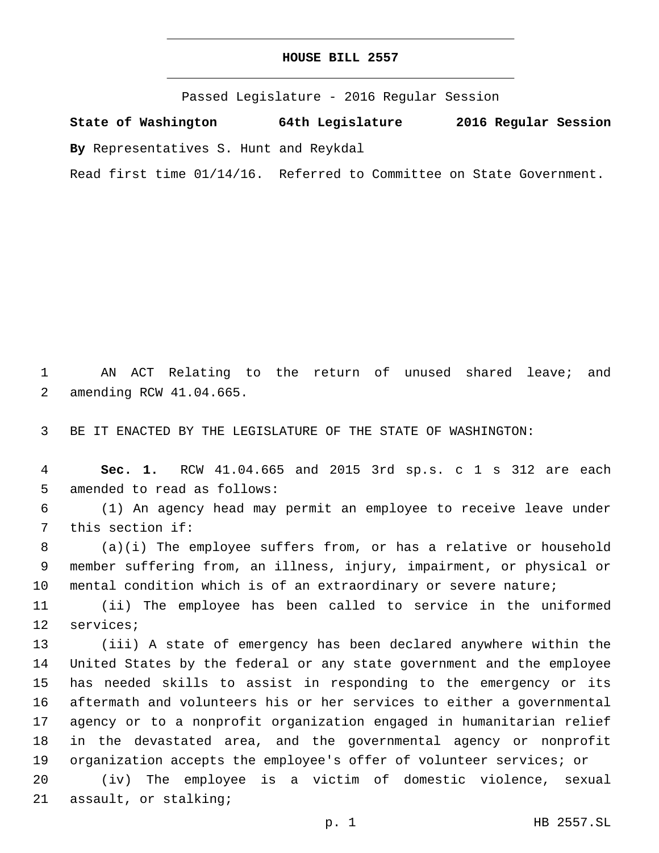| HOUSE BILL 2557 |  |  |
|-----------------|--|--|
|-----------------|--|--|

Passed Legislature - 2016 Regular Session

**State of Washington 64th Legislature 2016 Regular Session**

**By** Representatives S. Hunt and Reykdal

Read first time 01/14/16. Referred to Committee on State Government.

1 AN ACT Relating to the return of unused shared leave; and 2 amending RCW 41.04.665.

3 BE IT ENACTED BY THE LEGISLATURE OF THE STATE OF WASHINGTON:

4 **Sec. 1.** RCW 41.04.665 and 2015 3rd sp.s. c 1 s 312 are each 5 amended to read as follows:

6 (1) An agency head may permit an employee to receive leave under 7 this section if:

8 (a)(i) The employee suffers from, or has a relative or household 9 member suffering from, an illness, injury, impairment, or physical or 10 mental condition which is of an extraordinary or severe nature;

11 (ii) The employee has been called to service in the uniformed 12 services;

 (iii) A state of emergency has been declared anywhere within the United States by the federal or any state government and the employee has needed skills to assist in responding to the emergency or its aftermath and volunteers his or her services to either a governmental agency or to a nonprofit organization engaged in humanitarian relief in the devastated area, and the governmental agency or nonprofit organization accepts the employee's offer of volunteer services; or

20 (iv) The employee is a victim of domestic violence, sexual 21 assault, or stalking;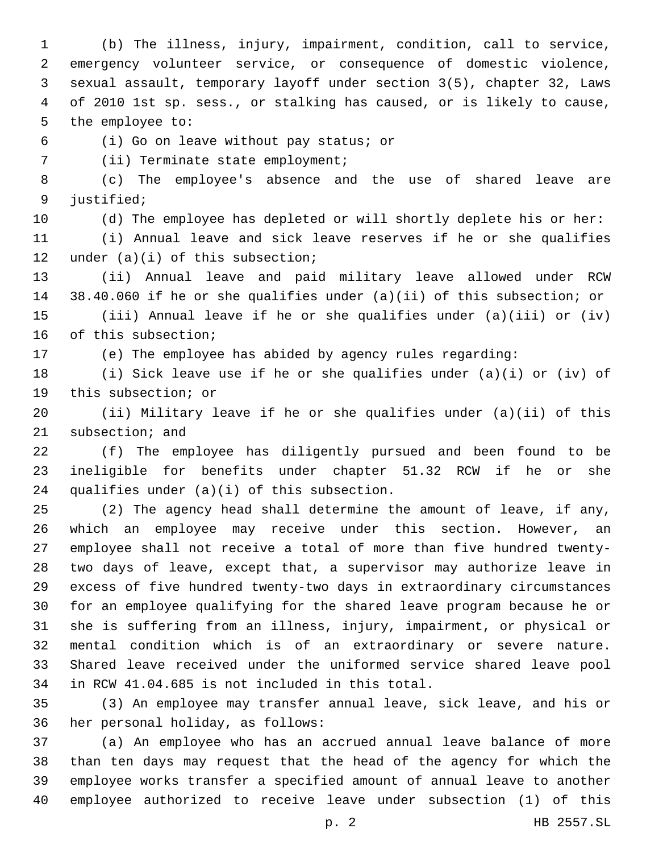(b) The illness, injury, impairment, condition, call to service, emergency volunteer service, or consequence of domestic violence, sexual assault, temporary layoff under section 3(5), chapter 32, Laws of 2010 1st sp. sess., or stalking has caused, or is likely to cause, 5 the employee to:

(i) Go on leave without pay status; or6

7 (ii) Terminate state employment;

 (c) The employee's absence and the use of shared leave are 9 justified;

(d) The employee has depleted or will shortly deplete his or her:

 (i) Annual leave and sick leave reserves if he or she qualifies 12 under  $(a)(i)$  of this subsection;

 (ii) Annual leave and paid military leave allowed under RCW 38.40.060 if he or she qualifies under (a)(ii) of this subsection; or (iii) Annual leave if he or she qualifies under (a)(iii) or (iv) 16 of this subsection;

(e) The employee has abided by agency rules regarding:

 (i) Sick leave use if he or she qualifies under (a)(i) or (iv) of 19 this subsection; or

 (ii) Military leave if he or she qualifies under (a)(ii) of this 21 subsection; and

 (f) The employee has diligently pursued and been found to be ineligible for benefits under chapter 51.32 RCW if he or she 24 qualifies under  $(a)(i)$  of this subsection.

 (2) The agency head shall determine the amount of leave, if any, which an employee may receive under this section. However, an employee shall not receive a total of more than five hundred twenty- two days of leave, except that, a supervisor may authorize leave in excess of five hundred twenty-two days in extraordinary circumstances for an employee qualifying for the shared leave program because he or she is suffering from an illness, injury, impairment, or physical or mental condition which is of an extraordinary or severe nature. Shared leave received under the uniformed service shared leave pool in RCW 41.04.685 is not included in this total.34

 (3) An employee may transfer annual leave, sick leave, and his or 36 her personal holiday, as follows:

 (a) An employee who has an accrued annual leave balance of more than ten days may request that the head of the agency for which the employee works transfer a specified amount of annual leave to another employee authorized to receive leave under subsection (1) of this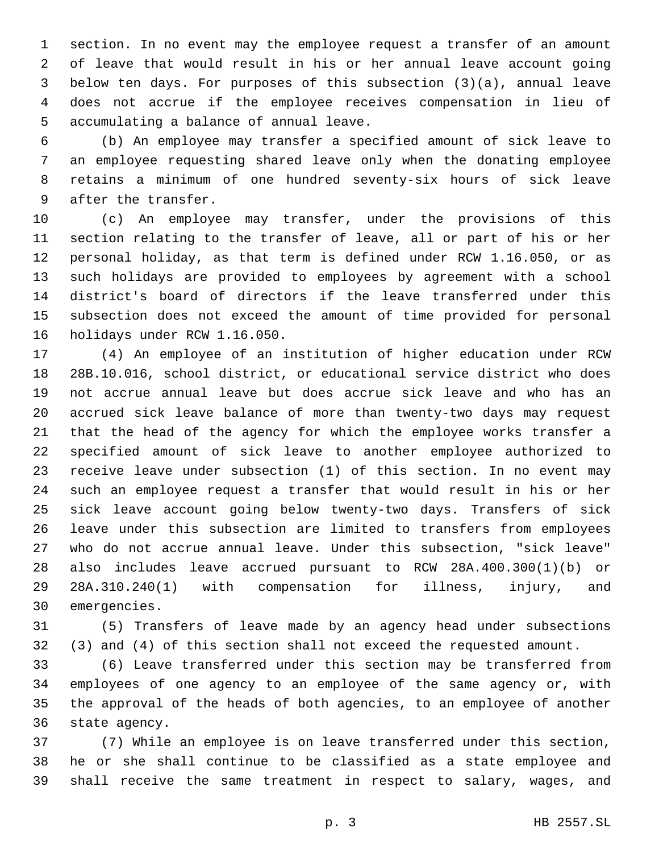section. In no event may the employee request a transfer of an amount of leave that would result in his or her annual leave account going below ten days. For purposes of this subsection (3)(a), annual leave does not accrue if the employee receives compensation in lieu of 5 accumulating a balance of annual leave.

 (b) An employee may transfer a specified amount of sick leave to an employee requesting shared leave only when the donating employee retains a minimum of one hundred seventy-six hours of sick leave 9 after the transfer.

 (c) An employee may transfer, under the provisions of this section relating to the transfer of leave, all or part of his or her personal holiday, as that term is defined under RCW 1.16.050, or as such holidays are provided to employees by agreement with a school district's board of directors if the leave transferred under this subsection does not exceed the amount of time provided for personal 16 holidays under RCW 1.16.050.

 (4) An employee of an institution of higher education under RCW 28B.10.016, school district, or educational service district who does not accrue annual leave but does accrue sick leave and who has an accrued sick leave balance of more than twenty-two days may request that the head of the agency for which the employee works transfer a specified amount of sick leave to another employee authorized to receive leave under subsection (1) of this section. In no event may such an employee request a transfer that would result in his or her sick leave account going below twenty-two days. Transfers of sick leave under this subsection are limited to transfers from employees who do not accrue annual leave. Under this subsection, "sick leave" also includes leave accrued pursuant to RCW 28A.400.300(1)(b) or 28A.310.240(1) with compensation for illness, injury, and 30 emergencies.

 (5) Transfers of leave made by an agency head under subsections (3) and (4) of this section shall not exceed the requested amount.

 (6) Leave transferred under this section may be transferred from employees of one agency to an employee of the same agency or, with the approval of the heads of both agencies, to an employee of another 36 state agency.

 (7) While an employee is on leave transferred under this section, he or she shall continue to be classified as a state employee and shall receive the same treatment in respect to salary, wages, and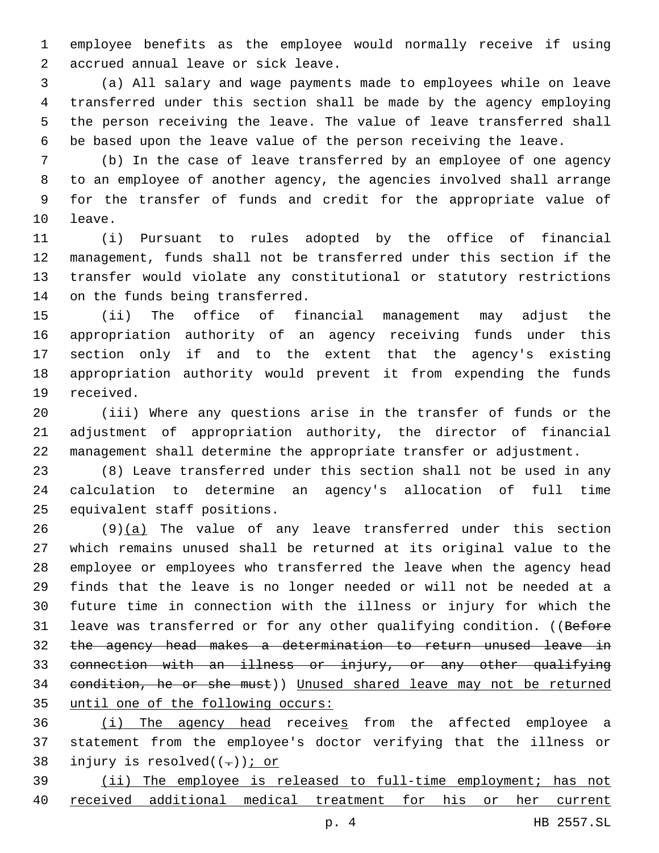employee benefits as the employee would normally receive if using 2 accrued annual leave or sick leave.

 (a) All salary and wage payments made to employees while on leave transferred under this section shall be made by the agency employing the person receiving the leave. The value of leave transferred shall be based upon the leave value of the person receiving the leave.

 (b) In the case of leave transferred by an employee of one agency to an employee of another agency, the agencies involved shall arrange for the transfer of funds and credit for the appropriate value of 10 leave.

 (i) Pursuant to rules adopted by the office of financial management, funds shall not be transferred under this section if the transfer would violate any constitutional or statutory restrictions 14 on the funds being transferred.

 (ii) The office of financial management may adjust the appropriation authority of an agency receiving funds under this section only if and to the extent that the agency's existing appropriation authority would prevent it from expending the funds 19 received.

 (iii) Where any questions arise in the transfer of funds or the adjustment of appropriation authority, the director of financial management shall determine the appropriate transfer or adjustment.

 (8) Leave transferred under this section shall not be used in any calculation to determine an agency's allocation of full time 25 equivalent staff positions.

 $(9)(a)$  The value of any leave transferred under this section which remains unused shall be returned at its original value to the employee or employees who transferred the leave when the agency head finds that the leave is no longer needed or will not be needed at a future time in connection with the illness or injury for which the 31 leave was transferred or for any other qualifying condition. ((Before the agency head makes a determination to return unused leave in connection with an illness or injury, or any other qualifying condition, he or she must)) Unused shared leave may not be returned until one of the following occurs:

 (i) The agency head receives from the affected employee a statement from the employee's doctor verifying that the illness or 38 injury is resolved( $(-)$ ); or

 (ii) The employee is released to full-time employment; has not received additional medical treatment for his or her current